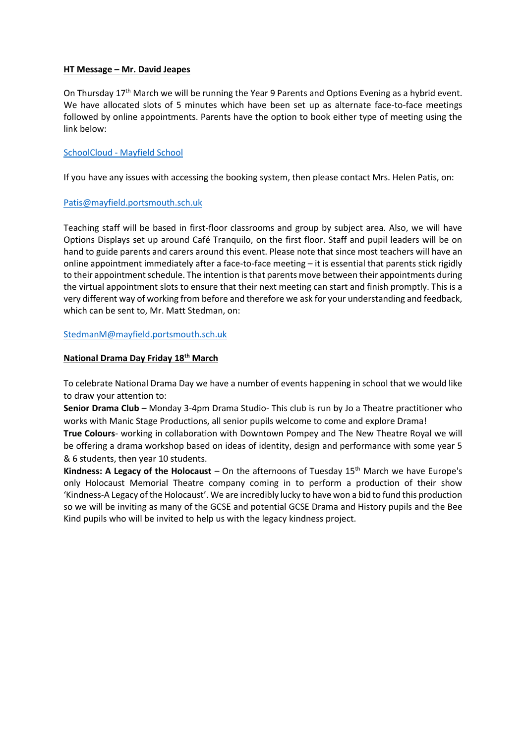#### **HT Message – Mr. David Jeapes**

On Thursday 17<sup>th</sup> March we will be running the Year 9 Parents and Options Evening as a hybrid event. We have allocated slots of 5 minutes which have been set up as alternate face-to-face meetings followed by online appointments. Parents have the option to book either type of meeting using the link below:

#### SchoolCloud - [Mayfield School](https://mayfieldschool.schoolcloud.co.uk/)

If you have any issues with accessing the booking system, then please contact Mrs. Helen Patis, on:

#### [Patis@mayfield.portsmouth.sch.uk](mailto:Patis@mayfield.portsmouth.sch.uk)

Teaching staff will be based in first-floor classrooms and group by subject area. Also, we will have Options Displays set up around Café Tranquilo, on the first floor. Staff and pupil leaders will be on hand to guide parents and carers around this event. Please note that since most teachers will have an online appointment immediately after a face-to-face meeting – it is essential that parents stick rigidly to their appointment schedule. The intention is that parents move between their appointments during the virtual appointment slots to ensure that their next meeting can start and finish promptly. This is a very different way of working from before and therefore we ask for your understanding and feedback, which can be sent to, Mr. Matt Stedman, on:

[StedmanM@mayfield.portsmouth.sch.uk](mailto:StedmanM@mayfield.portsmouth.sch.uk)

#### **National Drama Day Friday 18th March**

To celebrate National Drama Day we have a number of events happening in school that we would like to draw your attention to:

**Senior Drama Club** – Monday 3-4pm Drama Studio- This club is run by Jo a Theatre practitioner who works with Manic Stage Productions, all senior pupils welcome to come and explore Drama!

**True Colours**- working in collaboration with Downtown Pompey and The New Theatre Royal we will be offering a drama workshop based on ideas of identity, design and performance with some year 5 & 6 students, then year 10 students.

**Kindness: A Legacy of the Holocaust** – On the afternoons of Tuesday 15th March we have Europe's only Holocaust Memorial Theatre company coming in to perform a production of their show 'Kindness-A Legacy of the Holocaust'. We are incredibly lucky to have won a bid to fund this production so we will be inviting as many of the GCSE and potential GCSE Drama and History pupils and the Bee Kind pupils who will be invited to help us with the legacy kindness project.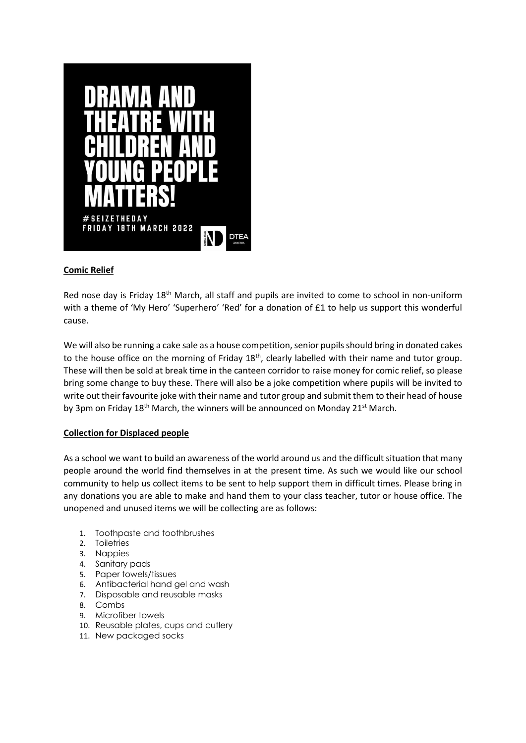

# **Comic Relief**

Red nose day is Friday 18<sup>th</sup> March, all staff and pupils are invited to come to school in non-uniform with a theme of 'My Hero' 'Superhero' 'Red' for a donation of £1 to help us support this wonderful cause.

We will also be running a cake sale as a house competition, senior pupils should bring in donated cakes to the house office on the morning of Friday 18<sup>th</sup>, clearly labelled with their name and tutor group. These will then be sold at break time in the canteen corridor to raise money for comic relief, so please bring some change to buy these. There will also be a joke competition where pupils will be invited to write out their favourite joke with their name and tutor group and submit them to their head of house by 3pm on Friday 18<sup>th</sup> March, the winners will be announced on Monday 21<sup>st</sup> March.

#### **Collection for Displaced people**

As a school we want to build an awareness of the world around us and the difficult situation that many people around the world find themselves in at the present time. As such we would like our school community to help us collect items to be sent to help support them in difficult times. Please bring in any donations you are able to make and hand them to your class teacher, tutor or house office. The unopened and unused items we will be collecting are as follows:

- 1. Toothpaste and toothbrushes
- 2. Toiletries
- 3. Nappies
- 4. Sanitary pads
- 5. Paper towels/tissues
- 6. Antibacterial hand gel and wash
- 7. Disposable and reusable masks
- 8. Combs
- 9. Microfiber towels
- 10. Reusable plates, cups and cutlery
- 11. New packaged socks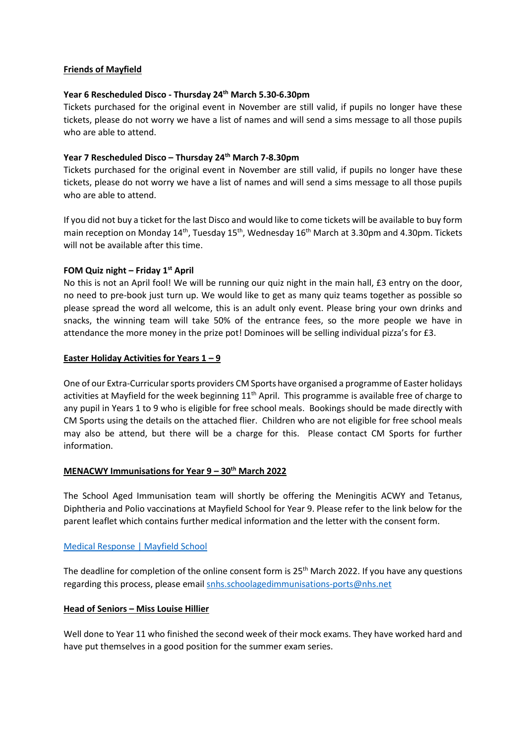#### **Friends of Mayfield**

#### **Year 6 Rescheduled Disco - Thursday 24th March 5.30-6.30pm**

Tickets purchased for the original event in November are still valid, if pupils no longer have these tickets, please do not worry we have a list of names and will send a sims message to all those pupils who are able to attend.

#### **Year 7 Rescheduled Disco – Thursday 24th March 7-8.30pm**

Tickets purchased for the original event in November are still valid, if pupils no longer have these tickets, please do not worry we have a list of names and will send a sims message to all those pupils who are able to attend.

If you did not buy a ticket for the last Disco and would like to come tickets will be available to buy form main reception on Monday 14<sup>th</sup>, Tuesday 15<sup>th</sup>, Wednesday 16<sup>th</sup> March at 3.30pm and 4.30pm. Tickets will not be available after this time.

#### **FOM Quiz night – Friday 1st April**

No this is not an April fool! We will be running our quiz night in the main hall, £3 entry on the door, no need to pre-book just turn up. We would like to get as many quiz teams together as possible so please spread the word all welcome, this is an adult only event. Please bring your own drinks and snacks, the winning team will take 50% of the entrance fees, so the more people we have in attendance the more money in the prize pot! Dominoes will be selling individual pizza's for £3.

#### **Easter Holiday Activities for Years 1 – 9**

One of our Extra-Curricular sports providers CM Sports have organised a programme of Easter holidays activities at Mayfield for the week beginning  $11<sup>th</sup>$  April. This programme is available free of charge to any pupil in Years 1 to 9 who is eligible for free school meals. Bookings should be made directly with CM Sports using the details on the attached flier. Children who are not eligible for free school meals may also be attend, but there will be a charge for this. Please contact CM Sports for further information.

#### **MENACWY Immunisations for Year 9 – 30th March 2022**

The School Aged Immunisation team will shortly be offering the Meningitis ACWY and Tetanus, Diphtheria and Polio vaccinations at Mayfield School for Year 9. Please refer to the link below for the parent leaflet which contains further medical information and the letter with the consent form.

# [Medical Response | Mayfield School](https://mayfield.portsmouth.sch.uk/about-us/medical-response)

The deadline for completion of the online consent form is  $25<sup>th</sup>$  March 2022. If you have any questions regarding this process, please email [snhs.schoolagedimmunisations-ports@nhs.net](mailto:snhs.schoolagedimmunisations-ports@nhs.net)

#### **Head of Seniors – Miss Louise Hillier**

Well done to Year 11 who finished the second week of their mock exams. They have worked hard and have put themselves in a good position for the summer exam series.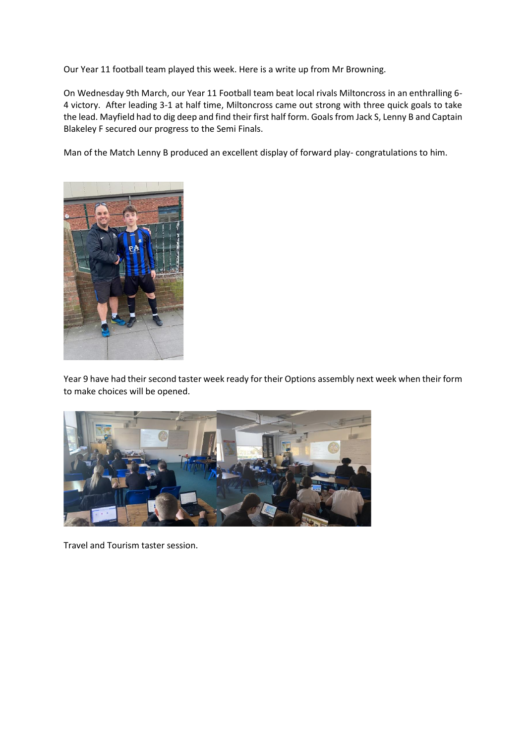Our Year 11 football team played this week. Here is a write up from Mr Browning.

On Wednesday 9th March, our Year 11 Football team beat local rivals Miltoncross in an enthralling 6- 4 victory. After leading 3-1 at half time, Miltoncross came out strong with three quick goals to take the lead. Mayfield had to dig deep and find their first half form. Goals from Jack S, Lenny B and Captain Blakeley F secured our progress to the Semi Finals.

Man of the Match Lenny B produced an excellent display of forward play- congratulations to him.



Year 9 have had their second taster week ready for their Options assembly next week when their form to make choices will be opened.



Travel and Tourism taster session.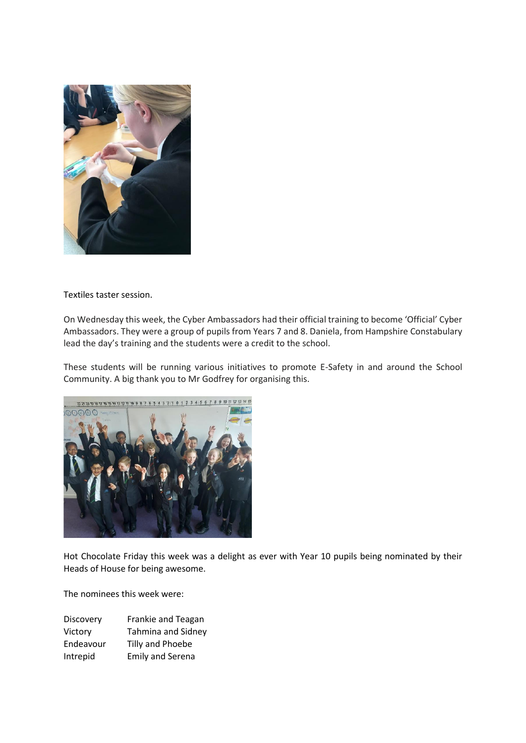

Textiles taster session.

On Wednesday this week, the Cyber Ambassadors had their official training to become 'Official' Cyber Ambassadors. They were a group of pupils from Years 7 and 8. Daniela, from Hampshire Constabulary lead the day's training and the students were a credit to the school.

These students will be running various initiatives to promote E-Safety in and around the School Community. A big thank you to Mr Godfrey for organising this.



Hot Chocolate Friday this week was a delight as ever with Year 10 pupils being nominated by their Heads of House for being awesome.

The nominees this week were:

| Discovery | Frankie and Teagan        |
|-----------|---------------------------|
| Victory   | <b>Tahmina and Sidney</b> |
| Endeavour | Tilly and Phoebe          |
| Intrepid  | <b>Emily and Serena</b>   |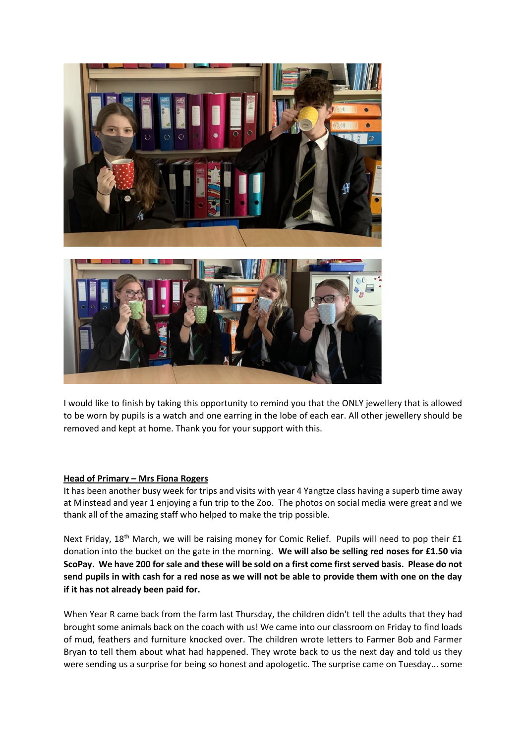



I would like to finish by taking this opportunity to remind you that the ONLY jewellery that is allowed to be worn by pupils is a watch and one earring in the lobe of each ear. All other jewellery should be removed and kept at home. Thank you for your support with this.

#### **Head of Primary – Mrs Fiona Rogers**

It has been another busy week for trips and visits with year 4 Yangtze class having a superb time away at Minstead and year 1 enjoying a fun trip to the Zoo. The photos on social media were great and we thank all of the amazing staff who helped to make the trip possible.

Next Friday, 18<sup>th</sup> March, we will be raising money for Comic Relief. Pupils will need to pop their £1 donation into the bucket on the gate in the morning. **We will also be selling red noses for £1.50 via ScoPay. We have 200 for sale and these will be sold on a first come first served basis. Please do not send pupils in with cash for a red nose as we will not be able to provide them with one on the day if it has not already been paid for.**

When Year R came back from the farm last Thursday, the children didn't tell the adults that they had brought some animals back on the coach with us! We came into our classroom on Friday to find loads of mud, feathers and furniture knocked over. The children wrote letters to Farmer Bob and Farmer Bryan to tell them about what had happened. They wrote back to us the next day and told us they were sending us a surprise for being so honest and apologetic. The surprise came on Tuesday... some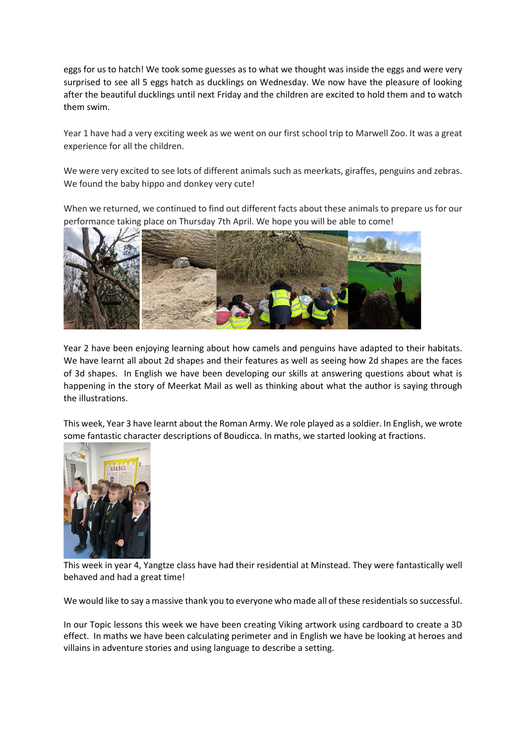eggs for us to hatch! We took some guesses as to what we thought was inside the eggs and were very surprised to see all 5 eggs hatch as ducklings on Wednesday. We now have the pleasure of looking after the beautiful ducklings until next Friday and the children are excited to hold them and to watch them swim.

Year 1 have had a very exciting week as we went on our first school trip to Marwell Zoo. It was a great experience for all the children.

We were very excited to see lots of different animals such as meerkats, giraffes, penguins and zebras. We found the baby hippo and donkey very cute!

When we returned, we continued to find out different facts about these animals to prepare us for our performance taking place on Thursday 7th April. We hope you will be able to come!



Year 2 have been enjoying learning about how camels and penguins have adapted to their habitats. We have learnt all about 2d shapes and their features as well as seeing how 2d shapes are the faces of 3d shapes. In English we have been developing our skills at answering questions about what is happening in the story of Meerkat Mail as well as thinking about what the author is saying through the illustrations.

This week, Year 3 have learnt about the Roman Army. We role played as a soldier. In English, we wrote some fantastic character descriptions of Boudicca. In maths, we started looking at fractions.



This week in year 4, Yangtze class have had their residential at Minstead. They were fantastically well behaved and had a great time!

We would like to say a massive thank you to everyone who made all of these residentials so successful.

In our Topic lessons this week we have been creating Viking artwork using cardboard to create a 3D effect. In maths we have been calculating perimeter and in English we have be looking at heroes and villains in adventure stories and using language to describe a setting.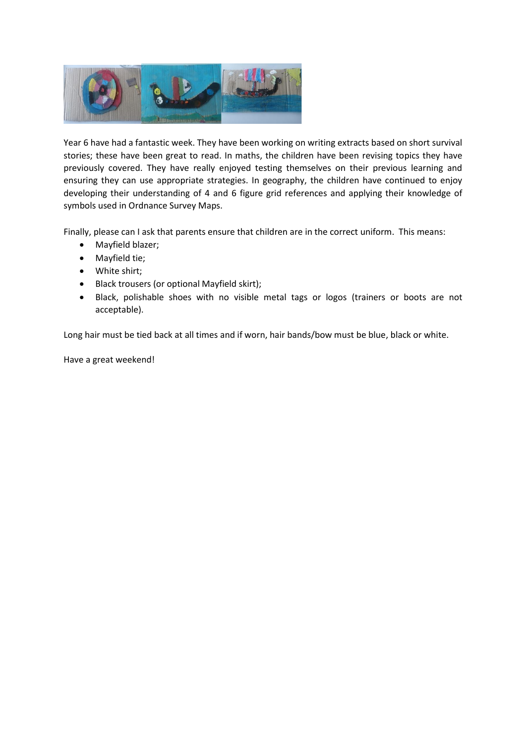

Year 6 have had a fantastic week. They have been working on writing extracts based on short survival stories; these have been great to read. In maths, the children have been revising topics they have previously covered. They have really enjoyed testing themselves on their previous learning and ensuring they can use appropriate strategies. In geography, the children have continued to enjoy developing their understanding of 4 and 6 figure grid references and applying their knowledge of symbols used in Ordnance Survey Maps.

Finally, please can I ask that parents ensure that children are in the correct uniform. This means:

- Mayfield blazer;
- Mayfield tie;
- White shirt;
- Black trousers (or optional Mayfield skirt);
- Black, polishable shoes with no visible metal tags or logos (trainers or boots are not acceptable).

Long hair must be tied back at all times and if worn, hair bands/bow must be blue, black or white.

Have a great weekend!